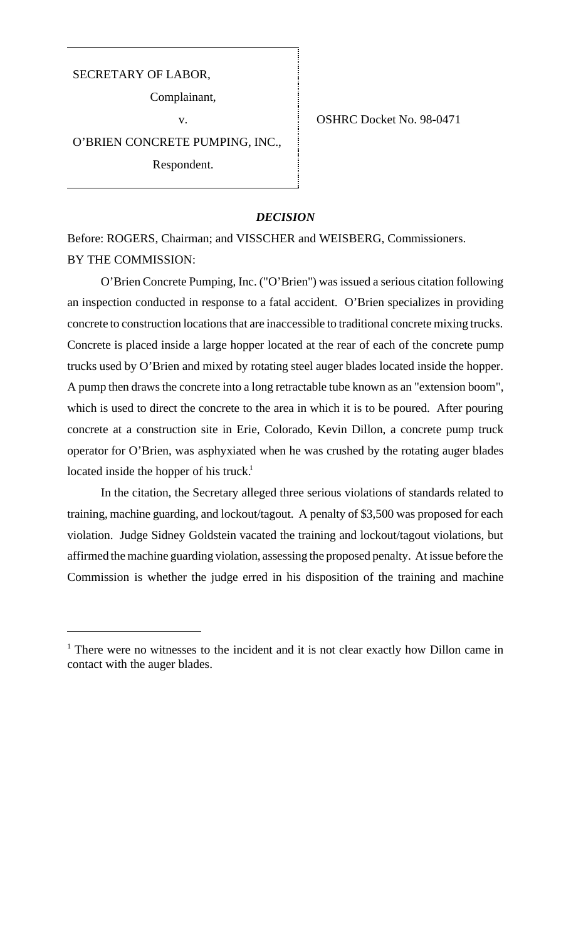# SECRETARY OF LABOR,

Complainant,

O'BRIEN CONCRETE PUMPING, INC.,

Respondent.

v. SHRC Docket No. 98-0471

## *DECISION*

Before: ROGERS, Chairman; and VISSCHER and WEISBERG, Commissioners. BY THE COMMISSION:

O'Brien Concrete Pumping, Inc. ("O'Brien") was issued a serious citation following an inspection conducted in response to a fatal accident. O'Brien specializes in providing concrete to construction locations that are inaccessible to traditional concrete mixing trucks. Concrete is placed inside a large hopper located at the rear of each of the concrete pump trucks used by O'Brien and mixed by rotating steel auger blades located inside the hopper. A pump then draws the concrete into a long retractable tube known as an "extension boom", which is used to direct the concrete to the area in which it is to be poured. After pouring concrete at a construction site in Erie, Colorado, Kevin Dillon, a concrete pump truck operator for O'Brien, was asphyxiated when he was crushed by the rotating auger blades located inside the hopper of his truck.<sup>1</sup>

In the citation, the Secretary alleged three serious violations of standards related to training, machine guarding, and lockout/tagout. A penalty of \$3,500 was proposed for each violation. Judge Sidney Goldstein vacated the training and lockout/tagout violations, but affirmed the machine guarding violation, assessing the proposed penalty. At issue before the Commission is whether the judge erred in his disposition of the training and machine

<sup>&</sup>lt;sup>1</sup> There were no witnesses to the incident and it is not clear exactly how Dillon came in contact with the auger blades.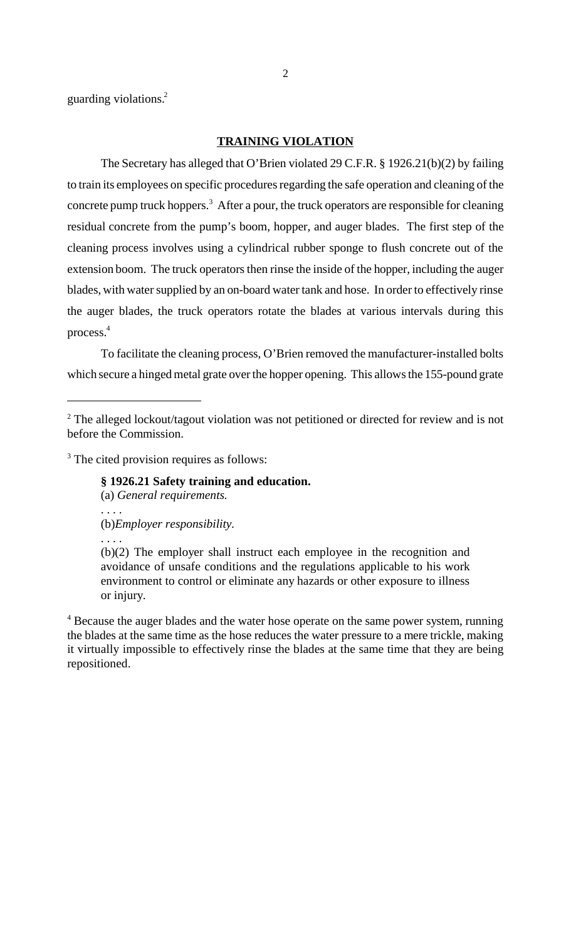guarding violations.2

# **TRAINING VIOLATION**

The Secretary has alleged that O'Brien violated 29 C.F.R. § 1926.21(b)(2) by failing to train its employees on specific procedures regarding the safe operation and cleaning of the concrete pump truck hoppers.<sup>3</sup> After a pour, the truck operators are responsible for cleaning residual concrete from the pump's boom, hopper, and auger blades. The first step of the cleaning process involves using a cylindrical rubber sponge to flush concrete out of the extension boom. The truck operators then rinse the inside of the hopper, including the auger blades, with water supplied by an on-board water tank and hose. In order to effectively rinse the auger blades, the truck operators rotate the blades at various intervals during this process.4

To facilitate the cleaning process, O'Brien removed the manufacturer-installed bolts which secure a hinged metal grate over the hopper opening. This allows the 155-pound grate

<sup>3</sup> The cited provision requires as follows:

**§ 1926.21 Safety training and education.**

(a) *General requirements.*

. . . . (b)*Employer responsibility.*

. . . .

(b)(2) The employer shall instruct each employee in the recognition and avoidance of unsafe conditions and the regulations applicable to his work environment to control or eliminate any hazards or other exposure to illness or injury.

<sup>4</sup> Because the auger blades and the water hose operate on the same power system, running the blades at the same time as the hose reduces the water pressure to a mere trickle, making it virtually impossible to effectively rinse the blades at the same time that they are being repositioned.

 $2$  The alleged lockout/tagout violation was not petitioned or directed for review and is not before the Commission.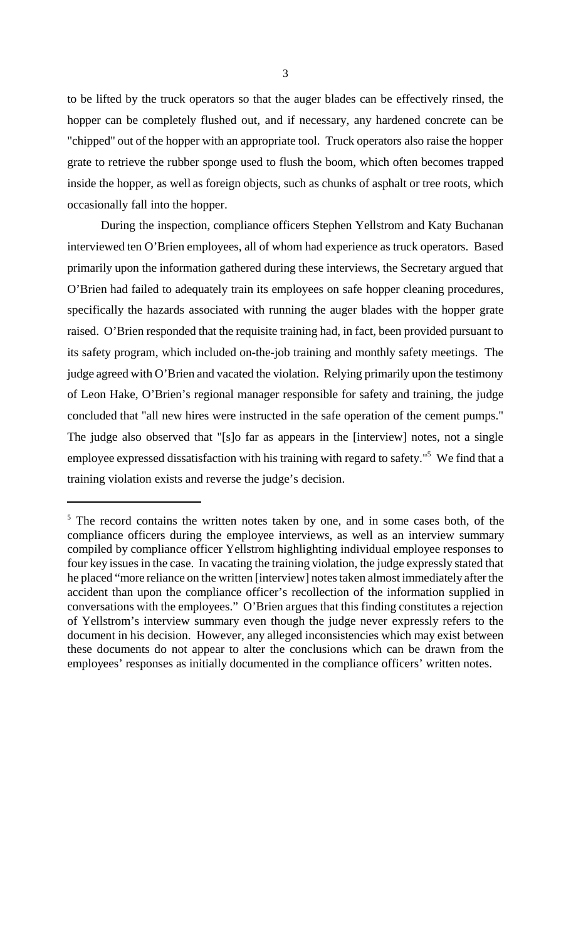to be lifted by the truck operators so that the auger blades can be effectively rinsed, the hopper can be completely flushed out, and if necessary, any hardened concrete can be "chipped" out of the hopper with an appropriate tool. Truck operators also raise the hopper grate to retrieve the rubber sponge used to flush the boom, which often becomes trapped inside the hopper, as well as foreign objects, such as chunks of asphalt or tree roots, which occasionally fall into the hopper.

During the inspection, compliance officers Stephen Yellstrom and Katy Buchanan interviewed ten O'Brien employees, all of whom had experience as truck operators. Based primarily upon the information gathered during these interviews, the Secretary argued that O'Brien had failed to adequately train its employees on safe hopper cleaning procedures, specifically the hazards associated with running the auger blades with the hopper grate raised. O'Brien responded that the requisite training had, in fact, been provided pursuant to its safety program, which included on-the-job training and monthly safety meetings. The judge agreed with O'Brien and vacated the violation. Relying primarily upon the testimony of Leon Hake, O'Brien's regional manager responsible for safety and training, the judge concluded that "all new hires were instructed in the safe operation of the cement pumps." The judge also observed that "[s]o far as appears in the [interview] notes, not a single employee expressed dissatisfaction with his training with regard to safety."<sup>5</sup> We find that a training violation exists and reverse the judge's decision.

<sup>&</sup>lt;sup>5</sup> The record contains the written notes taken by one, and in some cases both, of the compliance officers during the employee interviews, as well as an interview summary compiled by compliance officer Yellstrom highlighting individual employee responses to four key issues in the case. In vacating the training violation, the judge expressly stated that he placed "more reliance on the written [interview] notes taken almost immediately after the accident than upon the compliance officer's recollection of the information supplied in conversations with the employees." O'Brien argues that this finding constitutes a rejection of Yellstrom's interview summary even though the judge never expressly refers to the document in his decision. However, any alleged inconsistencies which may exist between these documents do not appear to alter the conclusions which can be drawn from the employees' responses as initially documented in the compliance officers' written notes.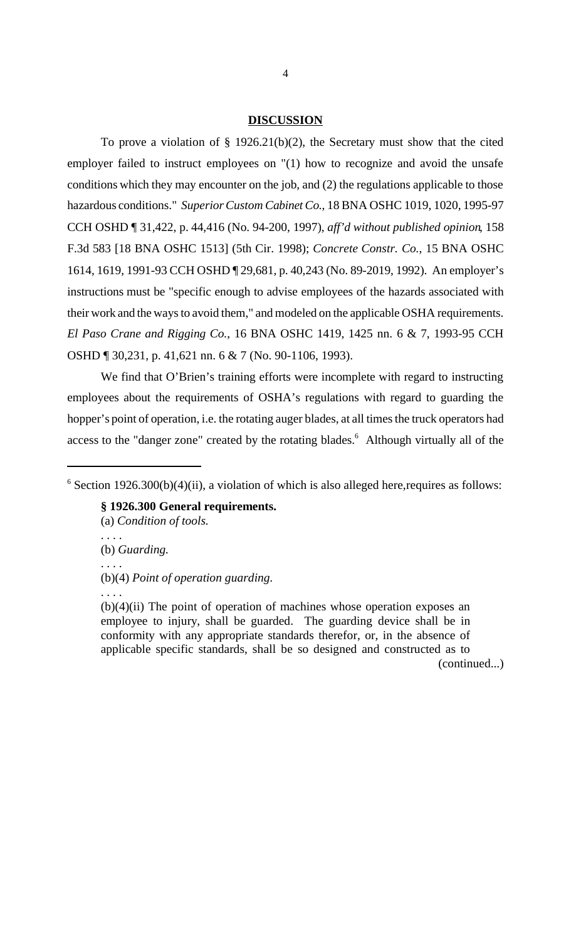### **DISCUSSION**

To prove a violation of  $\S$  1926.21(b)(2), the Secretary must show that the cited employer failed to instruct employees on "(1) how to recognize and avoid the unsafe conditions which they may encounter on the job, and (2) the regulations applicable to those hazardous conditions." *Superior Custom Cabinet Co.*, 18 BNA OSHC 1019, 1020, 1995-97 CCH OSHD ¶ 31,422, p. 44,416 (No. 94-200, 1997), *aff'd without published opinion*, 158 F.3d 583 [18 BNA OSHC 1513] (5th Cir. 1998); *Concrete Constr. Co.*, 15 BNA OSHC 1614, 1619, 1991-93 CCH OSHD ¶ 29,681, p. 40,243 (No. 89-2019, 1992). An employer's instructions must be "specific enough to advise employees of the hazards associated with their work and the ways to avoid them," and modeled on the applicable OSHA requirements. *El Paso Crane and Rigging Co.*, 16 BNA OSHC 1419, 1425 nn. 6 & 7, 1993-95 CCH OSHD ¶ 30,231, p. 41,621 nn. 6 & 7 (No. 90-1106, 1993).

We find that O'Brien's training efforts were incomplete with regard to instructing employees about the requirements of OSHA's regulations with regard to guarding the hopper's point of operation, i.e. the rotating auger blades, at all times the truck operators had access to the "danger zone" created by the rotating blades.<sup>6</sup> Although virtually all of the

 $6$  Section 1926.300(b)(4)(ii), a violation of which is also alleged here, requires as follows:

**§ 1926.300 General requirements.**

- (a) *Condition of tools.*
- . . . . (b) *Guarding.* . . . . (b)(4) *Point of operation guarding.*

. . . .

(continued...)

 $(b)(4)(ii)$  The point of operation of machines whose operation exposes an employee to injury, shall be guarded. The guarding device shall be in conformity with any appropriate standards therefor, or, in the absence of applicable specific standards, shall be so designed and constructed as to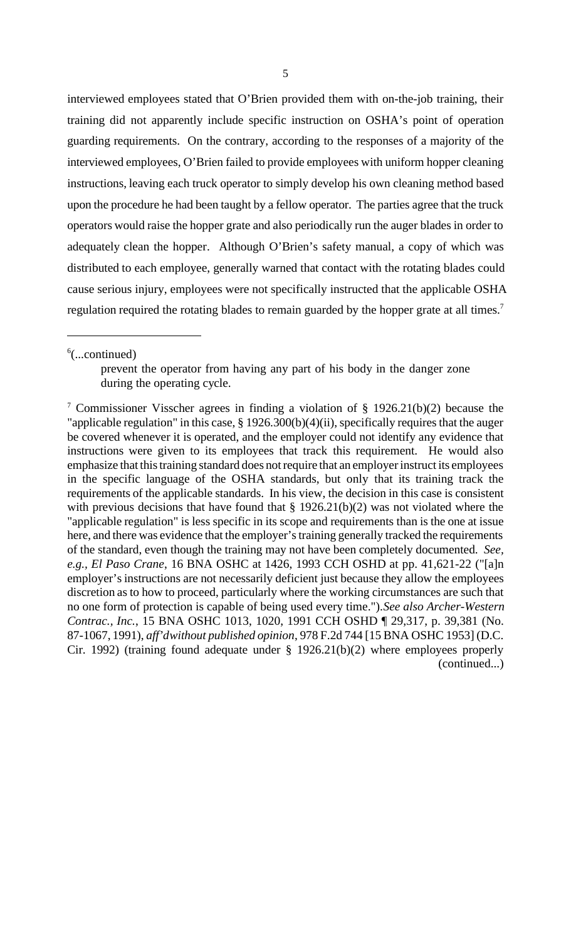interviewed employees stated that O'Brien provided them with on-the-job training, their training did not apparently include specific instruction on OSHA's point of operation guarding requirements. On the contrary, according to the responses of a majority of the interviewed employees, O'Brien failed to provide employees with uniform hopper cleaning instructions, leaving each truck operator to simply develop his own cleaning method based upon the procedure he had been taught by a fellow operator. The parties agree that the truck operators would raise the hopper grate and also periodically run the auger blades in order to adequately clean the hopper. Although O'Brien's safety manual, a copy of which was distributed to each employee, generally warned that contact with the rotating blades could cause serious injury, employees were not specifically instructed that the applicable OSHA regulation required the rotating blades to remain guarded by the hopper grate at all times.<sup>7</sup>

 $6$ (...continued)

prevent the operator from having any part of his body in the danger zone during the operating cycle.

7 Commissioner Visscher agrees in finding a violation of § 1926.21(b)(2) because the "applicable regulation" in this case, § 1926.300(b)(4)(ii), specifically requires that the auger be covered whenever it is operated, and the employer could not identify any evidence that instructions were given to its employees that track this requirement. He would also emphasize that this training standard does not require that an employer instruct its employees in the specific language of the OSHA standards, but only that its training track the requirements of the applicable standards. In his view, the decision in this case is consistent with previous decisions that have found that  $\S$  1926.21(b)(2) was not violated where the "applicable regulation" is less specific in its scope and requirements than is the one at issue here, and there was evidence that the employer's training generally tracked the requirements of the standard, even though the training may not have been completely documented. *See, e.g., El Paso Crane*, 16 BNA OSHC at 1426, 1993 CCH OSHD at pp. 41,621-22 ("[a]n employer's instructions are not necessarily deficient just because they allow the employees discretion as to how to proceed, particularly where the working circumstances are such that no one form of protection is capable of being used every time."). *See also Archer-Western Contrac., Inc.*, 15 BNA OSHC 1013, 1020, 1991 CCH OSHD ¶ 29,317, p. 39,381 (No. 87-1067, 1991), *aff'd without published opinion*, 978 F.2d 744 [15 BNA OSHC 1953] (D.C. Cir. 1992) (training found adequate under § 1926.21(b)(2) where employees properly (continued...)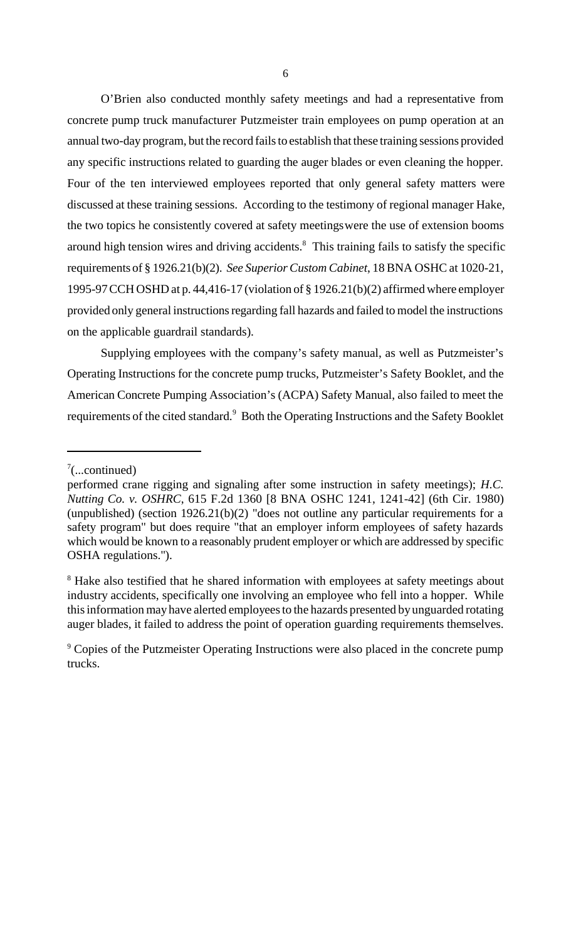O'Brien also conducted monthly safety meetings and had a representative from concrete pump truck manufacturer Putzmeister train employees on pump operation at an annual two-day program, but the record fails to establish that these training sessions provided any specific instructions related to guarding the auger blades or even cleaning the hopper. Four of the ten interviewed employees reported that only general safety matters were discussed at these training sessions. According to the testimony of regional manager Hake, the two topics he consistently covered at safety meetings were the use of extension booms around high tension wires and driving accidents.<sup>8</sup> This training fails to satisfy the specific requirements of § 1926.21(b)(2). *See Superior Custom Cabinet*, 18 BNA OSHC at 1020-21, 1995-97 CCH OSHD at p. 44,416-17 (violation of § 1926.21(b)(2) affirmed where employer provided only general instructions regarding fall hazards and failed to model the instructions on the applicable guardrail standards).

Supplying employees with the company's safety manual, as well as Putzmeister's Operating Instructions for the concrete pump trucks, Putzmeister's Safety Booklet, and the American Concrete Pumping Association's (ACPA) Safety Manual, also failed to meet the requirements of the cited standard.<sup>9</sup> Both the Operating Instructions and the Safety Booklet

 $7$ (...continued)

performed crane rigging and signaling after some instruction in safety meetings); *H.C. Nutting Co. v. OSHRC*, 615 F.2d 1360 [8 BNA OSHC 1241, 1241-42] (6th Cir. 1980) (unpublished) (section  $1926.21(b)(2)$  "does not outline any particular requirements for a safety program" but does require "that an employer inform employees of safety hazards which would be known to a reasonably prudent employer or which are addressed by specific OSHA regulations.").

<sup>&</sup>lt;sup>8</sup> Hake also testified that he shared information with employees at safety meetings about industry accidents, specifically one involving an employee who fell into a hopper. While this information may have alerted employees to the hazards presented by unguarded rotating auger blades, it failed to address the point of operation guarding requirements themselves.

<sup>&</sup>lt;sup>9</sup> Copies of the Putzmeister Operating Instructions were also placed in the concrete pump trucks.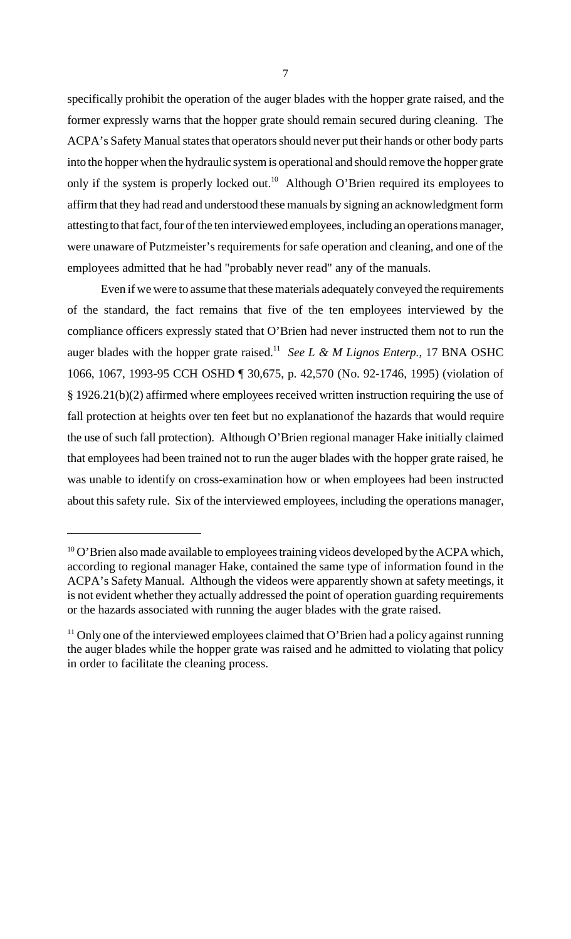specifically prohibit the operation of the auger blades with the hopper grate raised, and the former expressly warns that the hopper grate should remain secured during cleaning. The ACPA's Safety Manual states that operators should never put their hands or other body parts into the hopper when the hydraulic system is operational and should remove the hopper grate only if the system is properly locked out.<sup>10</sup> Although O'Brien required its employees to affirm that they had read and understood these manuals by signing an acknowledgment form attesting to that fact, four of the ten interviewed employees, including an operations manager, were unaware of Putzmeister's requirements for safe operation and cleaning, and one of the employees admitted that he had "probably never read" any of the manuals.

Even if we were to assume that these materials adequately conveyed the requirements of the standard, the fact remains that five of the ten employees interviewed by the compliance officers expressly stated that O'Brien had never instructed them not to run the auger blades with the hopper grate raised.<sup>11</sup> *See L & M Lignos Enterp.*, 17 BNA OSHC 1066, 1067, 1993-95 CCH OSHD ¶ 30,675, p. 42,570 (No. 92-1746, 1995) (violation of § 1926.21(b)(2) affirmed where employees received written instruction requiring the use of fall protection at heights over ten feet but no explanation of the hazards that would require the use of such fall protection). Although O'Brien regional manager Hake initially claimed that employees had been trained not to run the auger blades with the hopper grate raised, he was unable to identify on cross-examination how or when employees had been instructed about this safety rule. Six of the interviewed employees, including the operations manager,

 $10$  O'Brien also made available to employees training videos developed by the ACPA which, according to regional manager Hake, contained the same type of information found in the ACPA's Safety Manual. Although the videos were apparently shown at safety meetings, it is not evident whether they actually addressed the point of operation guarding requirements or the hazards associated with running the auger blades with the grate raised.

 $11$  Only one of the interviewed employees claimed that O'Brien had a policy against running the auger blades while the hopper grate was raised and he admitted to violating that policy in order to facilitate the cleaning process.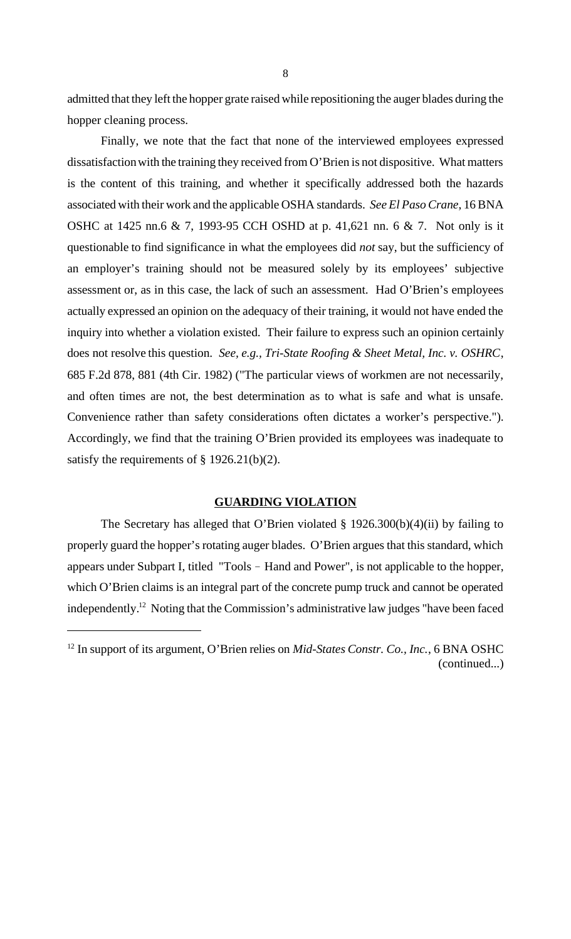admitted that they left the hopper grate raised while repositioning the auger blades during the hopper cleaning process.

Finally, we note that the fact that none of the interviewed employees expressed dissatisfaction with the training they received from O'Brien is not dispositive. What matters is the content of this training, and whether it specifically addressed both the hazards associated with their work and the applicable OSHA standards. *See El Paso Crane*, 16 BNA OSHC at 1425 nn.6 & 7, 1993-95 CCH OSHD at p. 41,621 nn. 6 & 7. Not only is it questionable to find significance in what the employees did *not* say, but the sufficiency of an employer's training should not be measured solely by its employees' subjective assessment or, as in this case, the lack of such an assessment. Had O'Brien's employees actually expressed an opinion on the adequacy of their training, it would not have ended the inquiry into whether a violation existed. Their failure to express such an opinion certainly does not resolve this question. *See, e.g., Tri-State Roofing & Sheet Metal, Inc. v. OSHRC*, 685 F.2d 878, 881 (4th Cir. 1982) ("The particular views of workmen are not necessarily, and often times are not, the best determination as to what is safe and what is unsafe. Convenience rather than safety considerations often dictates a worker's perspective."). Accordingly, we find that the training O'Brien provided its employees was inadequate to satisfy the requirements of § 1926.21(b)(2).

## **GUARDING VIOLATION**

The Secretary has alleged that O'Brien violated  $\S$  1926.300(b)(4)(ii) by failing to properly guard the hopper's rotating auger blades. O'Brien argues that this standard, which appears under Subpart I, titled "Tools - Hand and Power", is not applicable to the hopper, which O'Brien claims is an integral part of the concrete pump truck and cannot be operated independently.<sup>12</sup> Noting that the Commission's administrative law judges "have been faced

<sup>&</sup>lt;sup>12</sup> In support of its argument, O'Brien relies on *Mid-States Constr. Co., Inc.*, 6 BNA OSHC (continued...)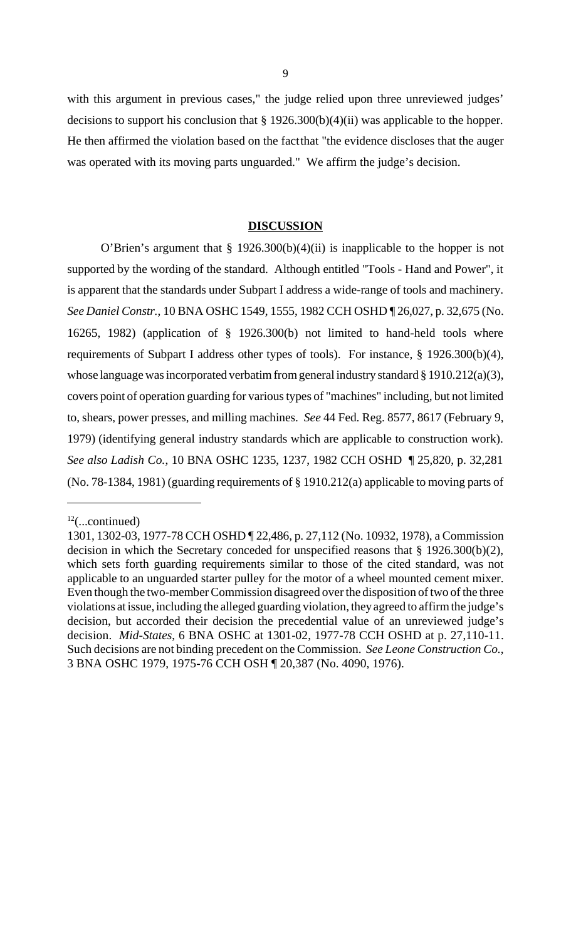with this argument in previous cases," the judge relied upon three unreviewed judges' decisions to support his conclusion that § 1926.300(b)(4)(ii) was applicable to the hopper. He then affirmed the violation based on the fact that "the evidence discloses that the auger was operated with its moving parts unguarded." We affirm the judge's decision.

### **DISCUSSION**

O'Brien's argument that § 1926.300(b)(4)(ii) is inapplicable to the hopper is not supported by the wording of the standard. Although entitled "Tools - Hand and Power", it is apparent that the standards under Subpart I address a wide-range of tools and machinery. *See Daniel Constr.*, 10 BNA OSHC 1549, 1555, 1982 CCH OSHD ¶ 26,027, p. 32,675 (No. 16265, 1982) (application of § 1926.300(b) not limited to hand-held tools where requirements of Subpart I address other types of tools). For instance, § 1926.300(b)(4), whose language was incorporated verbatim from general industry standard § 1910.212(a)(3), covers point of operation guarding for various types of "machines" including, but not limited to, shears, power presses, and milling machines. *See* 44 Fed. Reg. 8577, 8617 (February 9, 1979) (identifying general industry standards which are applicable to construction work). *See also Ladish Co.*, 10 BNA OSHC 1235, 1237, 1982 CCH OSHD ¶ 25,820, p. 32,281 (No. 78-1384, 1981) (guarding requirements of § 1910.212(a) applicable to moving parts of

 $12$ (...continued)

<sup>1301, 1302-03, 1977-78</sup> CCH OSHD ¶ 22,486, p. 27,112 (No. 10932, 1978), a Commission decision in which the Secretary conceded for unspecified reasons that § 1926.300(b)(2), which sets forth guarding requirements similar to those of the cited standard, was not applicable to an unguarded starter pulley for the motor of a wheel mounted cement mixer. Even though the two-member Commission disagreed over the disposition of two of the three violations at issue, including the alleged guarding violation, they agreed to affirm the judge's decision, but accorded their decision the precedential value of an unreviewed judge's decision. *Mid-States*, 6 BNA OSHC at 1301-02, 1977-78 CCH OSHD at p. 27,110-11. Such decisions are not binding precedent on the Commission. *See Leone Construction Co.*, 3 BNA OSHC 1979, 1975-76 CCH OSH ¶ 20,387 (No. 4090, 1976).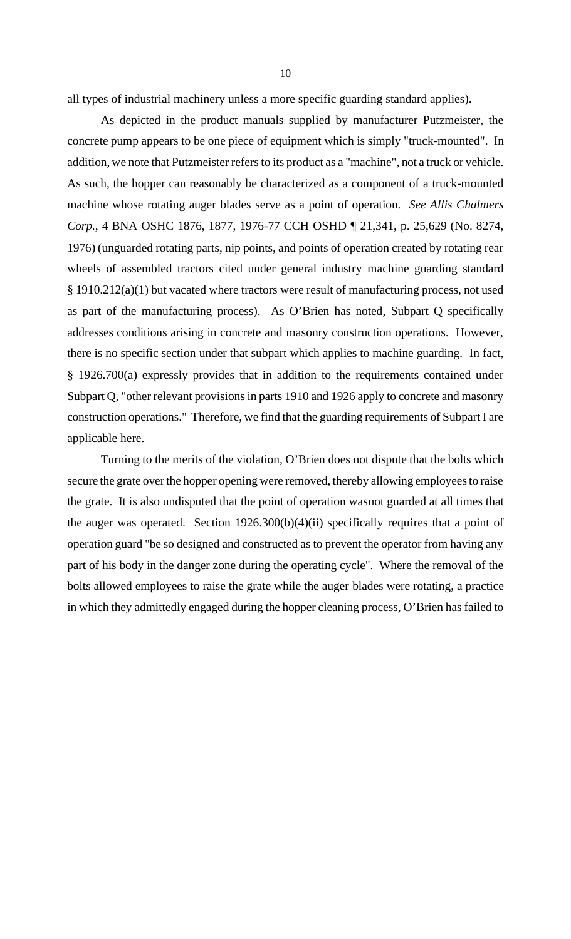all types of industrial machinery unless a more specific guarding standard applies).

As depicted in the product manuals supplied by manufacturer Putzmeister, the concrete pump appears to be one piece of equipment which is simply "truck-mounted". In addition, we note that Putzmeister refers to its product as a "machine", not a truck or vehicle. As such, the hopper can reasonably be characterized as a component of a truck-mounted machine whose rotating auger blades serve as a point of operation. *See Allis Chalmers Corp.*, 4 BNA OSHC 1876, 1877, 1976-77 CCH OSHD ¶ 21,341, p. 25,629 (No. 8274, 1976) (unguarded rotating parts, nip points, and points of operation created by rotating rear wheels of assembled tractors cited under general industry machine guarding standard § 1910.212(a)(1) but vacated where tractors were result of manufacturing process, not used as part of the manufacturing process). As O'Brien has noted, Subpart Q specifically addresses conditions arising in concrete and masonry construction operations. However, there is no specific section under that subpart which applies to machine guarding.In fact, § 1926.700(a) expressly provides that in addition to the requirements contained under Subpart Q, "other relevant provisions in parts 1910 and 1926 apply to concrete and masonry construction operations." Therefore, we find that the guarding requirements of Subpart I are applicable here.

Turning to the merits of the violation, O'Brien does not dispute that the bolts which secure the grate over the hopper opening were removed, thereby allowing employees to raise the grate. It is also undisputed that the point of operation was not guarded at all times that the auger was operated. Section  $1926.300(b)(4)(ii)$  specifically requires that a point of operation guard "be so designed and constructed as to prevent the operator from having any part of his body in the danger zone during the operating cycle". Where the removal of the bolts allowed employees to raise the grate while the auger blades were rotating, a practice in which they admittedly engaged during the hopper cleaning process, O'Brien has failed to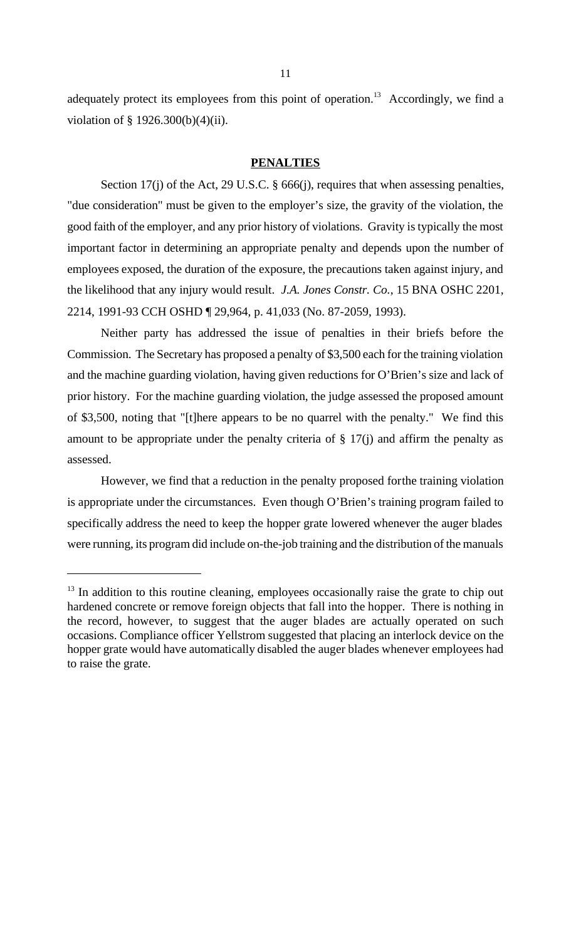adequately protect its employees from this point of operation.<sup>13</sup> Accordingly, we find a violation of § 1926.300(b)(4)(ii).

#### **PENALTIES**

Section 17(j) of the Act, 29 U.S.C. § 666(j), requires that when assessing penalties, "due consideration" must be given to the employer's size, the gravity of the violation, the good faith of the employer, and any prior history of violations. Gravity is typically the most important factor in determining an appropriate penalty and depends upon the number of employees exposed, the duration of the exposure, the precautions taken against injury, and the likelihood that any injury would result. *J.A. Jones Constr. Co.*, 15 BNA OSHC 2201, 2214, 1991-93 CCH OSHD ¶ 29,964, p. 41,033 (No. 87-2059, 1993).

Neither party has addressed the issue of penalties in their briefs before the Commission. The Secretary has proposed a penalty of \$3,500 each for the training violation and the machine guarding violation, having given reductions for O'Brien's size and lack of prior history. For the machine guarding violation, the judge assessed the proposed amount of \$3,500, noting that "[t]here appears to be no quarrel with the penalty." We find this amount to be appropriate under the penalty criteria of  $\S 17(i)$  and affirm the penalty as assessed.

However, we find that a reduction in the penalty proposed for the training violation is appropriate under the circumstances. Even though O'Brien's training program failed to specifically address the need to keep the hopper grate lowered whenever the auger blades were running, its program did include on-the-job training and the distribution of the manuals

 $13$  In addition to this routine cleaning, employees occasionally raise the grate to chip out hardened concrete or remove foreign objects that fall into the hopper. There is nothing in the record, however, to suggest that the auger blades are actually operated on such occasions. Compliance officer Yellstrom suggested that placing an interlock device on the hopper grate would have automatically disabled the auger blades whenever employees had to raise the grate.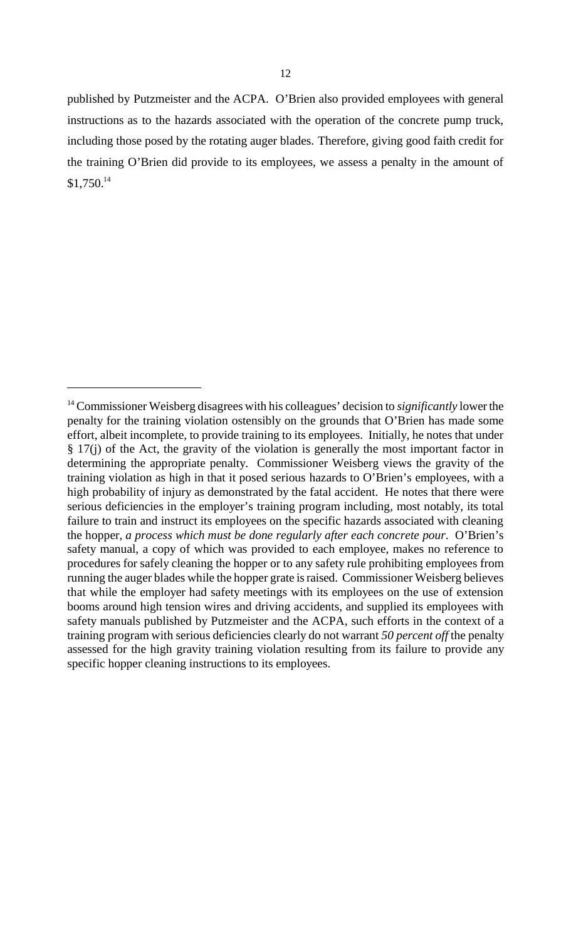published by Putzmeister and the ACPA. O'Brien also provided employees with general instructions as to the hazards associated with the operation of the concrete pump truck, including those posed by the rotating auger blades. Therefore, giving good faith credit for the training O'Brien did provide to its employees, we assess a penalty in the amount of  $$1,750.<sup>14</sup>$ 

<sup>14</sup> Commissioner Weisberg disagrees with his colleagues' decision to *significantly* lower the penalty for the training violation ostensibly on the grounds that O'Brien has made some effort, albeit incomplete, to provide training to its employees. Initially, he notes that under § 17(j) of the Act, the gravity of the violation is generally the most important factor in determining the appropriate penalty. Commissioner Weisberg views the gravity of the training violation as high in that it posed serious hazards to O'Brien's employees, with a high probability of injury as demonstrated by the fatal accident. He notes that there were serious deficiencies in the employer's training program including, most notably, its total failure to train and instruct its employees on the specific hazards associated with cleaning the hopper, *a process which must be done regularly after each concrete pour*. O'Brien's safety manual, a copy of which was provided to each employee, makes no reference to procedures for safely cleaning the hopper or to any safety rule prohibiting employees from running the auger blades while the hopper grate is raised. Commissioner Weisberg believes that while the employer had safety meetings with its employees on the use of extension booms around high tension wires and driving accidents, and supplied its employees with safety manuals published by Putzmeister and the ACPA, such efforts in the context of a training program with serious deficiencies clearly do not warrant *50 percent off* the penalty assessed for the high gravity training violation resulting from its failure to provide any specific hopper cleaning instructions to its employees.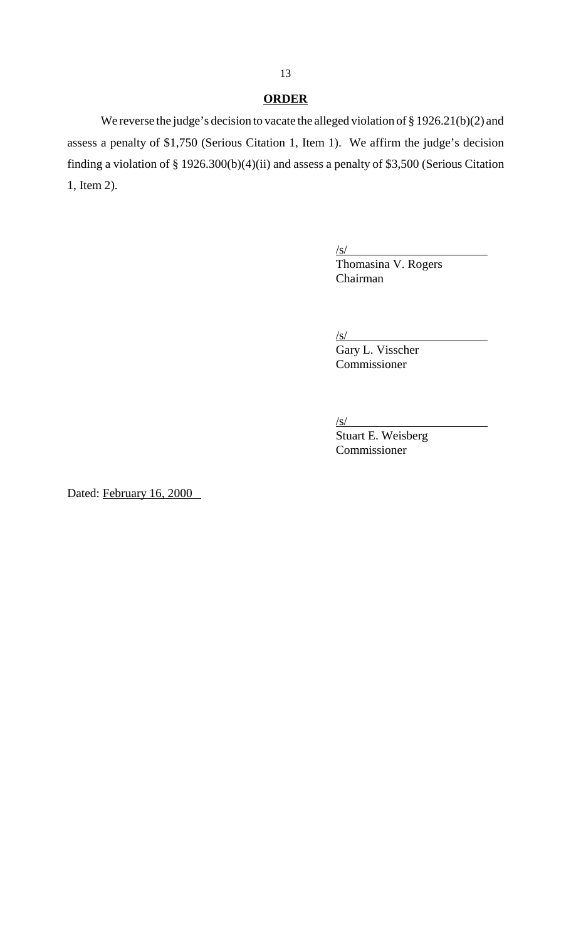# **ORDER**

We reverse the judge's decision to vacate the alleged violation of § 1926.21(b)(2) and assess a penalty of \$1,750 (Serious Citation 1, Item 1). We affirm the judge's decision finding a violation of § 1926.300(b)(4)(ii) and assess a penalty of \$3,500 (Serious Citation 1, Item 2).

 $\sqrt{s}$ /

Thomasina V. Rogers Chairman

 $\sqrt{s}$ /

Gary L. Visscher Commissioner

 $\sqrt{s}$ /

Stuart E. Weisberg Commissioner

Dated: February 16, 2000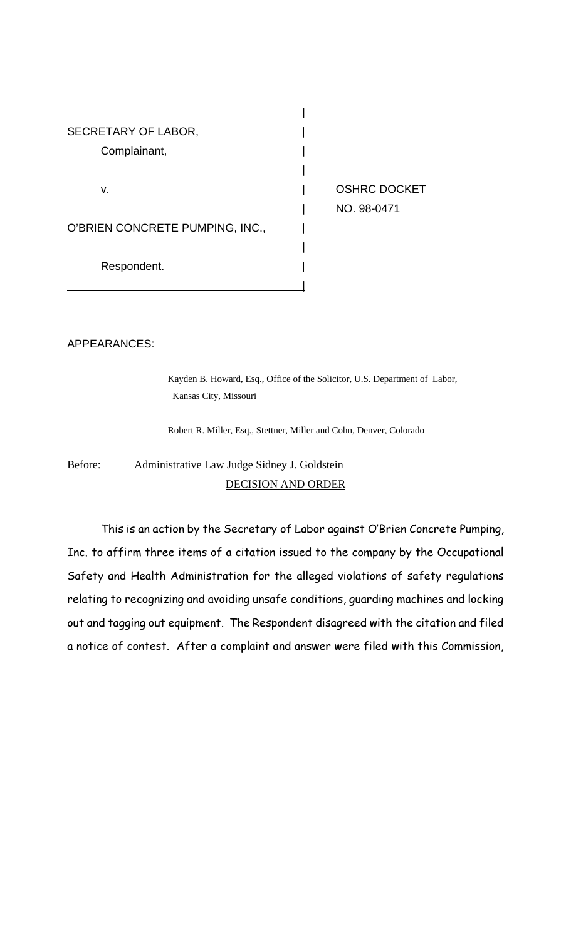

APPEARANCES:

Kayden B. Howard, Esq., Office of the Solicitor, U.S. Department of Labor, Kansas City, Missouri

Robert R. Miller, Esq., Stettner, Miller and Cohn, Denver, Colorado

Before: Administrative Law Judge Sidney J. Goldstein DECISION AND ORDER

This is an action by the Secretary of Labor against O'Brien Concrete Pumping, Inc. to affirm three items of a citation issued to the company by the Occupational Safety and Health Administration for the alleged violations of safety regulations relating to recognizing and avoiding unsafe conditions, quarding machines and locking out and tagging out equipment. The Respondent disagreed with the citation and filed a notice of contest. After a complaint and answer were filed with this Commission,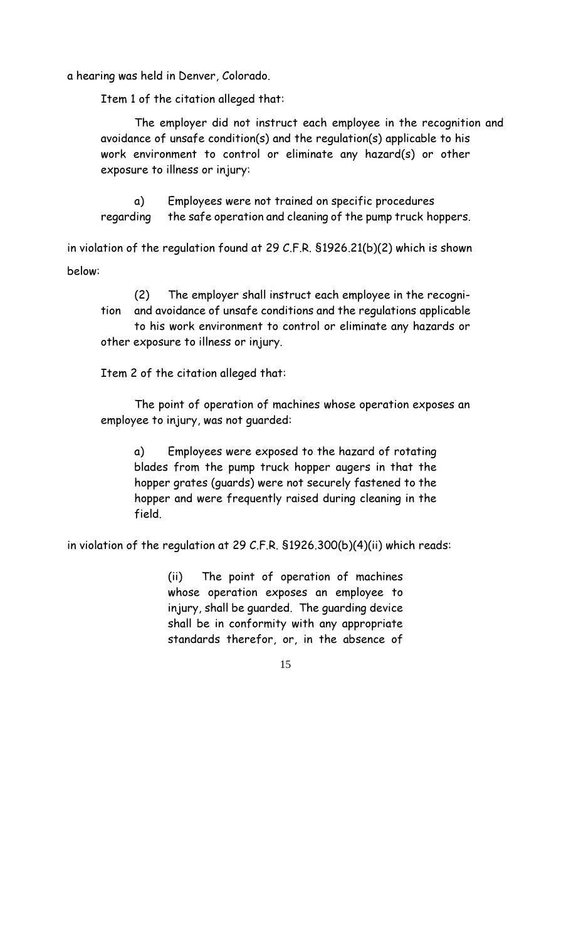a hearing was held in Denver, Colorado.

Item 1 of the citation alleged that:

The employer did not instruct each employee in the recognition and avoidance of unsafe condition(s) and the regulation(s) applicable to his work environment to control or eliminate any hazard(s) or other exposure to illness or injury:

Employees were not trained on specific procedures a) the safe operation and cleaning of the pump truck hoppers. regarding

in violation of the regulation found at 29 C.F.R. \$1926.21(b)(2) which is shown below:

 $(2)$ The employer shall instruct each employee in the recogniand avoidance of unsafe conditions and the regulations applicable tion to his work environment to control or eliminate any hazards or other exposure to illness or injury.

Item 2 of the citation alleged that:

The point of operation of machines whose operation exposes an employee to injury, was not quarded:

a) Employees were exposed to the hazard of rotating blades from the pump truck hopper augers in that the hopper grates (guards) were not securely fastened to the hopper and were frequently raised during cleaning in the field.

in violation of the regulation at 29 C.F.R. \$1926.300(b)(4)(ii) which reads:

 $(ii)$ The point of operation of machines whose operation exposes an employee to injury, shall be guarded. The guarding device shall be in conformity with any appropriate standards therefor, or, in the absence of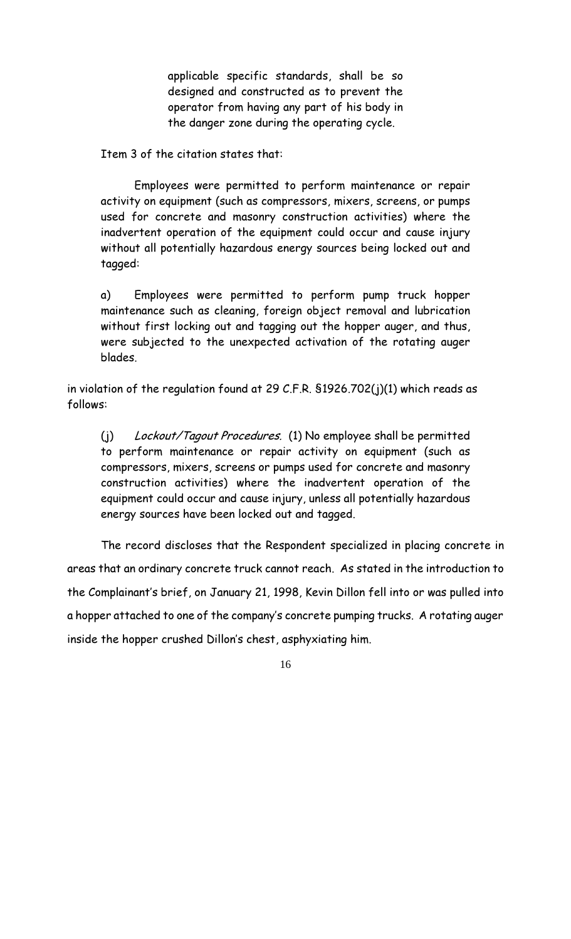applicable specific standards, shall be so designed and constructed as to prevent the operator from having any part of his body in the danger zone during the operating cycle.

Item 3 of the citation states that:

Employees were permitted to perform maintenance or repair activity on equipment (such as compressors, mixers, screens, or pumps used for concrete and masonry construction activities) where the inadvertent operation of the equipment could occur and cause injury without all potentially hazardous energy sources being locked out and tagged:

Employees were permitted to perform pump truck hopper a) maintenance such as cleaning, foreign object removal and lubrication without first locking out and tagging out the hopper auger, and thus, were subjected to the unexpected activation of the rotating auger blades

in violation of the regulation found at 29 C.F.R.  $$1926.702(j)(1)$  which reads as follows:

Lockout/Tagout Procedures. (1) No employee shall be permitted  $(i)$ to perform maintenance or repair activity on equipment (such as compressors, mixers, screens or pumps used for concrete and masonry construction activities) where the inadvertent operation of the equipment could occur and cause injury, unless all potentially hazardous energy sources have been locked out and tagged.

The record discloses that the Respondent specialized in placing concrete in areas that an ordinary concrete truck cannot reach. As stated in the introduction to the Complainant's brief, on January 21, 1998, Kevin Dillon fell into or was pulled into a hopper attached to one of the company's concrete pumping trucks. A rotating auger inside the hopper crushed Dillon's chest, asphyxiating him.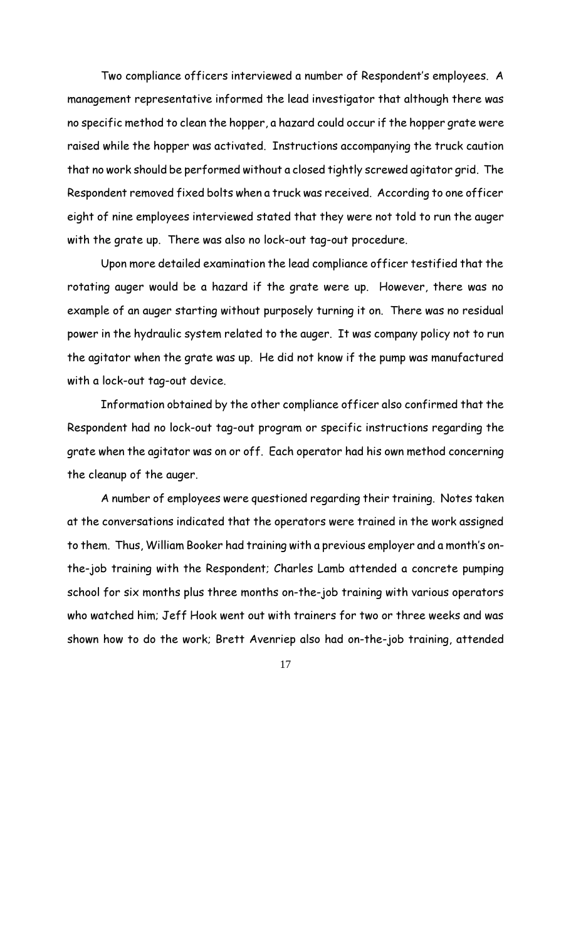Two compliance officers interviewed a number of Respondent's employees. A management representative informed the lead investigator that although there was no specific method to clean the hopper, a hazard could occur if the hopper grate were raised while the hopper was activated. Instructions accompanying the truck caution that no work should be performed without a closed tightly screwed agitator grid. The Respondent removed fixed bolts when a truck was received. According to one officer eight of nine employees interviewed stated that they were not told to run the auger with the grate up. There was also no lock-out tag-out procedure.

Upon more detailed examination the lead compliance officer testified that the rotating auger would be a hazard if the grate were up. However, there was no example of an auger starting without purposely turning it on. There was no residual power in the hydraulic system related to the auger. It was company policy not to run the agitator when the grate was up. He did not know if the pump was manufactured with a lock-out tag-out device.

Information obtained by the other compliance officer also confirmed that the Respondent had no lock-out tag-out program or specific instructions regarding the grate when the agitator was on or off. Each operator had his own method concerning the cleanup of the auger.

A number of employees were questioned regarding their training. Notes taken at the conversations indicated that the operators were trained in the work assigned to them. Thus, William Booker had training with a previous employer and a month's onthe-job training with the Respondent; Charles Lamb attended a concrete pumping school for six months plus three months on-the-job training with various operators who watched him; Jeff Hook went out with trainers for two or three weeks and was shown how to do the work; Brett Avenriep also had on-the-job training, attended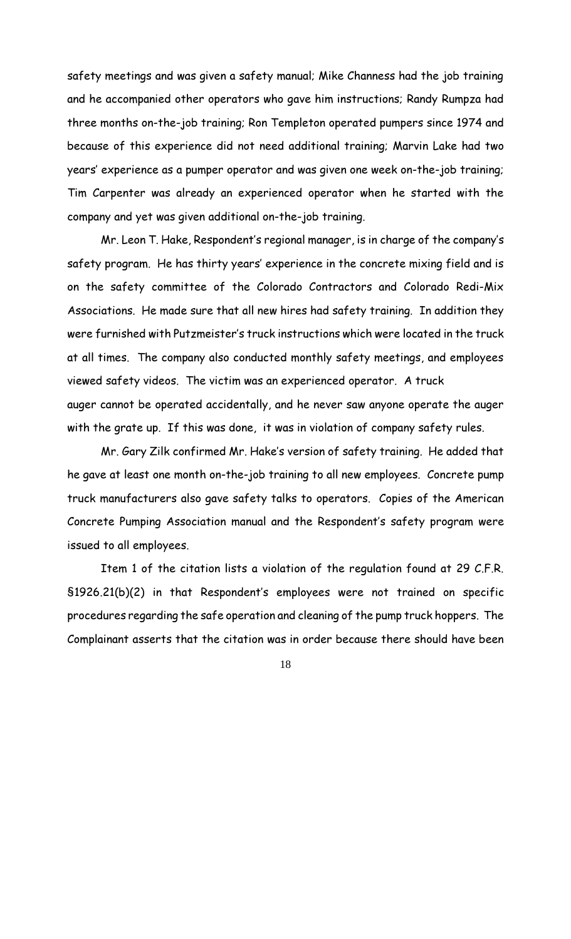safety meetings and was given a safety manual; Mike Channess had the job training and he accompanied other operators who gave him instructions; Randy Rumpza had three months on-the-job training; Ron Templeton operated pumpers since 1974 and because of this experience did not need additional training; Marvin Lake had two years' experience as a pumper operator and was given one week on-the-job training; Tim Carpenter was already an experienced operator when he started with the company and yet was given additional on-the-job training.

Mr. Leon T. Hake, Respondent's regional manager, is in charge of the company's safety program. He has thirty years' experience in the concrete mixing field and is on the safety committee of the Colorado Contractors and Colorado Redi-Mix Associations. He made sure that all new hires had safety training. In addition they were furnished with Putzmeister's truck instructions which were located in the truck at all times. The company also conducted monthly safety meetings, and employees viewed safety videos. The victim was an experienced operator. A truck auger cannot be operated accidentally, and he never saw anyone operate the auger with the grate up. If this was done, it was in violation of company safety rules.

Mr. Gary Zilk confirmed Mr. Hake's version of safety training. He added that he gave at least one month on-the-job training to all new employees. Concrete pump truck manufacturers also gave safety talks to operators. Copies of the American Concrete Pumping Association manual and the Respondent's safety program were issued to all employees.

Item 1 of the citation lists a violation of the regulation found at 29 C.F.R. S1926.21(b)(2) in that Respondent's employees were not trained on specific procedures regarding the safe operation and cleaning of the pump truck hoppers. The Complainant asserts that the citation was in order because there should have been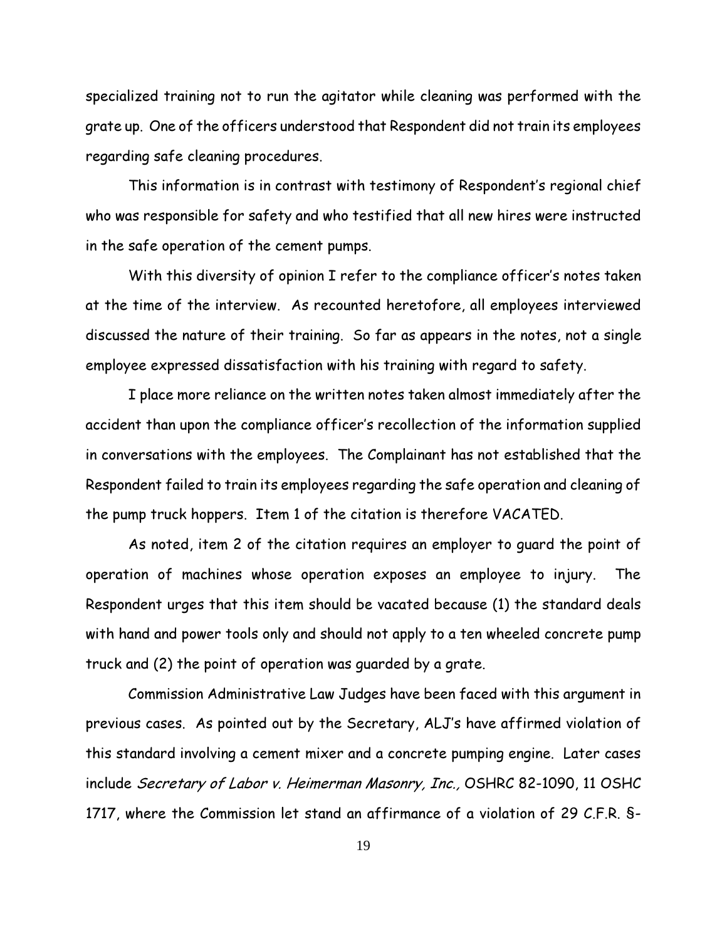specialized training not to run the agitator while cleaning was performed with the grate up. One of the officers understood that Respondent did not train its employees regarding safe cleaning procedures.

This information is in contrast with testimony of Respondent's regional chief who was responsible for safety and who testified that all new hires were instructed in the safe operation of the cement pumps.

With this diversity of opinion I refer to the compliance officer's notes taken at the time of the interview. As recounted heretofore, all employees interviewed discussed the nature of their training. So far as appears in the notes, not a single employee expressed dissatisfaction with his training with regard to safety.

I place more reliance on the written notes taken almost immediately after the accident than upon the compliance officer's recollection of the information supplied in conversations with the employees. The Complainant has not established that the Respondent failed to train its employees regarding the safe operation and cleaning of the pump truck hoppers. Item 1 of the citation is therefore VACATED.

As noted, item 2 of the citation requires an employer to quard the point of operation of machines whose operation exposes an employee to injury. The Respondent urges that this item should be vacated because (1) the standard deals with hand and power tools only and should not apply to a ten wheeled concrete pump truck and (2) the point of operation was guarded by a grate.

Commission Administrative Law Judges have been faced with this argument in previous cases. As pointed out by the Secretary, ALJ's have affirmed violation of this standard involving a cement mixer and a concrete pumping engine. Later cases include Secretary of Labor v. Heimerman Masonry, Inc., OSHRC 82-1090, 11 OSHC 1717, where the Commission let stand an affirmance of a violation of 29 C.F.R. S-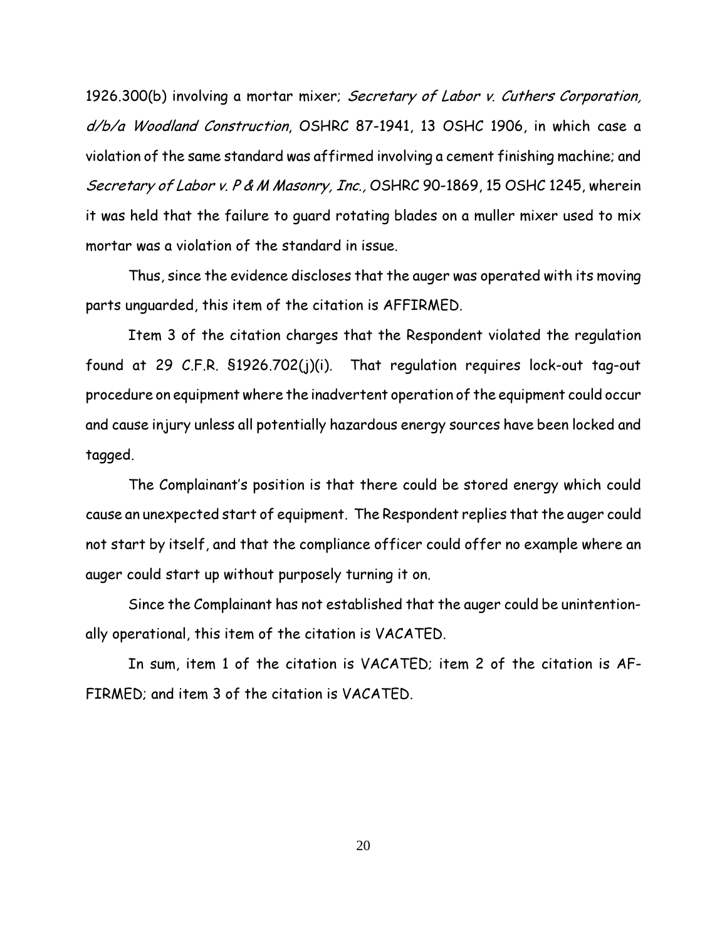1926.300(b) involving a mortar mixer; Secretary of Labor v. Cuthers Corporation, d/b/a Woodland Construction, OSHRC 87-1941, 13 OSHC 1906, in which case a violation of the same standard was affirmed involving a cement finishing machine; and Secretary of Labor v. P & M Masonry, Inc., OSHRC 90-1869, 15 OSHC 1245, wherein it was held that the failure to quard rotating blades on a muller mixer used to mix mortar was a violation of the standard in issue.

Thus, since the evidence discloses that the auger was operated with its moving parts unguarded, this item of the citation is AFFIRMED.

Item 3 of the citation charges that the Respondent violated the regulation found at 29 C.F.R. \$1926.702(j)(i). That regulation requires lock-out tag-out procedure on equipment where the inadvertent operation of the equipment could occur and cause injury unless all potentially hazardous energy sources have been locked and tagged.

The Complainant's position is that there could be stored energy which could cause an unexpected start of equipment. The Respondent replies that the auger could not start by itself, and that the compliance officer could offer no example where an auger could start up without purposely turning it on.

Since the Complainant has not established that the auger could be unintentionally operational, this item of the citation is VACATED.

In sum, item 1 of the citation is VACATED; item 2 of the citation is AF-FIRMED: and item 3 of the citation is VACATED.